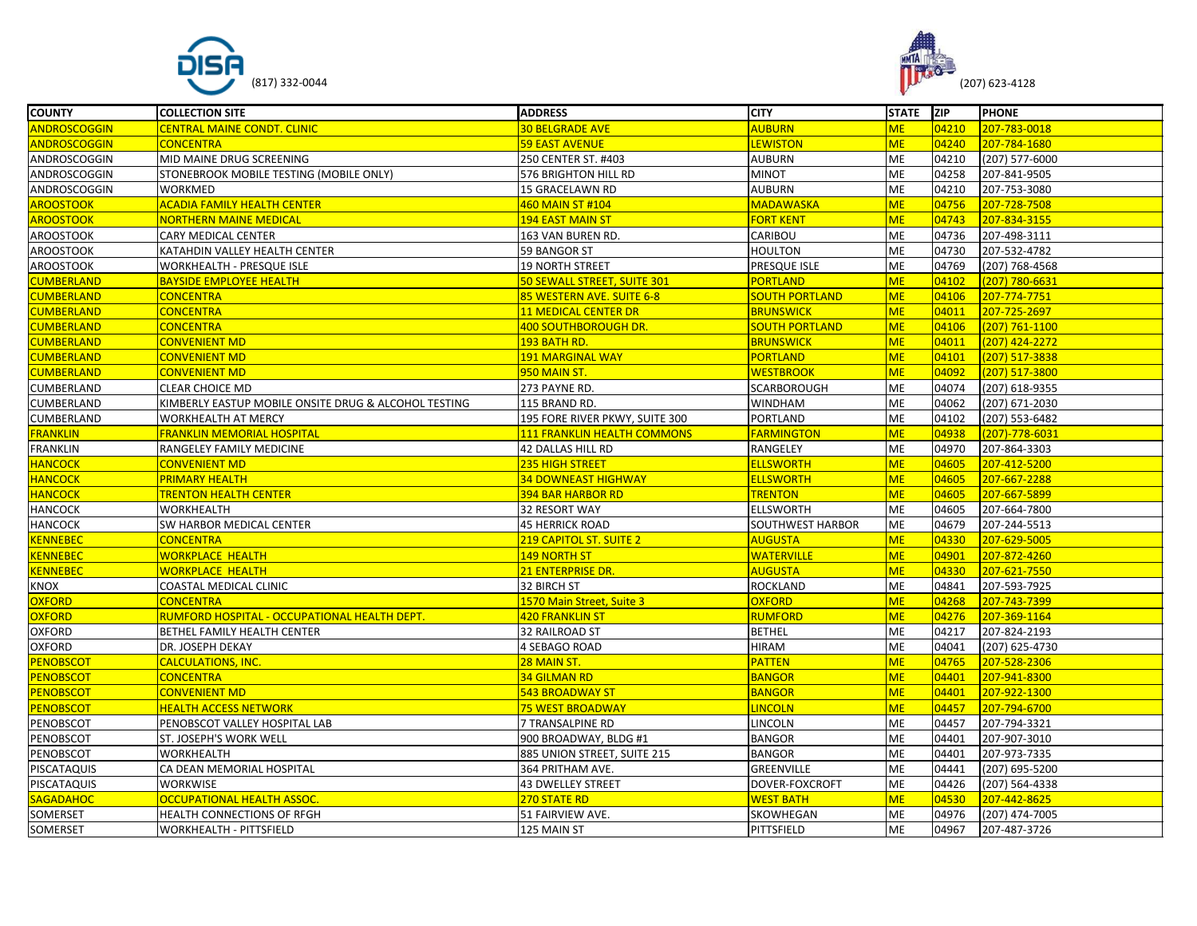



| <b>COUNTY</b>       | <b>COLLECTION SITE</b>                               | <b>ADDRESS</b>                 | <b>CITY</b>           | STATE ZIP |       | <b>PHONE</b>   |
|---------------------|------------------------------------------------------|--------------------------------|-----------------------|-----------|-------|----------------|
| <b>ANDROSCOGGIN</b> | <b>CENTRAL MAINE CONDT. CLINIC</b>                   | <b>30 BELGRADE AVE</b>         | <b>AUBURN</b>         | <b>ME</b> | 04210 | 207-783-0018   |
| <b>ANDROSCOGGIN</b> | <b>CONCENTRA</b>                                     | 59 EAST AVENUE                 | <b>LEWISTON</b>       | <b>ME</b> | 04240 | 207-784-1680   |
| ANDROSCOGGIN        | MID MAINE DRUG SCREENING                             | 250 CENTER ST. #403            | <b>AUBURN</b>         | ME        | 04210 | (207) 577-6000 |
| ANDROSCOGGIN        | STONEBROOK MOBILE TESTING (MOBILE ONLY)              | 576 BRIGHTON HILL RD           | <b>MINOT</b>          | <b>ME</b> | 04258 | 207-841-9505   |
| ANDROSCOGGIN        | <b>WORKMED</b>                                       | 15 GRACELAWN RD                | <b>AUBURN</b>         | <b>ME</b> | 04210 | 207-753-3080   |
| <b>AROOSTOOK</b>    | <b>ACADIA FAMILY HEALTH CENTER</b>                   | 460 MAIN ST #104               | <b>MADAWASKA</b>      | <b>ME</b> | 04756 | 207-728-7508   |
| <b>AROOSTOOK</b>    | <b>NORTHERN MAINE MEDICAL</b>                        | 194 EAST MAIN ST               | <b>FORT KENT</b>      | <b>ME</b> | 04743 | 207-834-3155   |
| <b>AROOSTOOK</b>    | CARY MEDICAL CENTER                                  | 163 VAN BUREN RD.              | CARIBOU               | ME        | 04736 | 207-498-3111   |
| <b>AROOSTOOK</b>    | KATAHDIN VALLEY HEALTH CENTER                        | 59 BANGOR ST                   | <b>HOULTON</b>        | ME        | 04730 | 207-532-4782   |
| <b>AROOSTOOK</b>    | WORKHEALTH - PRESQUE ISLE                            | 19 NORTH STREET                | PRESQUE ISLE          | ME        | 04769 | (207) 768-4568 |
| <b>CUMBERLAND</b>   | <b>BAYSIDE EMPLOYEE HEALTH</b>                       | 50 SEWALL STREET, SUITE 301    | <b>PORTLAND</b>       | <b>ME</b> | 04102 | (207) 780-6631 |
| <b>CUMBERLAND</b>   | <b>CONCENTRA</b>                                     | 85 WESTERN AVE. SUITE 6-8      | <b>SOUTH PORTLAND</b> | <b>ME</b> | 04106 | 207-774-7751   |
| <b>CUMBERLAND</b>   | <b>CONCENTRA</b>                                     | <b>11 MEDICAL CENTER DR</b>    | <b>BRUNSWICK</b>      | <b>ME</b> | 04011 | 207-725-2697   |
| <b>CUMBERLAND</b>   | <b>CONCENTRA</b>                                     | 400 SOUTHBOROUGH DR.           | <b>SOUTH PORTLAND</b> | <b>ME</b> | 04106 | (207) 761-1100 |
| <b>CUMBERLAND</b>   | <b>CONVENIENT MD</b>                                 | <mark>193 BATH RD.</mark>      | <b>BRUNSWICK</b>      | <b>ME</b> | 04011 | (207) 424-2272 |
| <b>CUMBERLAND</b>   | <b>CONVENIENT MD</b>                                 | 191 MARGINAL WAY               | <b>PORTLAND</b>       | <b>ME</b> | 04101 | (207) 517-3838 |
| <b>CUMBERLAND</b>   | <b>CONVENIENT MD</b>                                 | 950 MAIN ST.                   | <b>WESTBROOK</b>      | <b>ME</b> | 04092 | (207) 517-3800 |
| CUMBERLAND          | <b>CLEAR CHOICE MD</b>                               | 273 PAYNE RD.                  | SCARBOROUGH           | ME        | 04074 | (207) 618-9355 |
| CUMBERLAND          | KIMBERLY EASTUP MOBILE ONSITE DRUG & ALCOHOL TESTING | 115 BRAND RD.                  | <b>WINDHAM</b>        | <b>ME</b> | 04062 | (207) 671-2030 |
| CUMBERLAND          | WORKHEALTH AT MERCY                                  | 195 FORE RIVER PKWY, SUITE 300 | PORTLAND              | <b>ME</b> | 04102 | (207) 553-6482 |
| <b>FRANKLIN</b>     | <b>FRANKLIN MEMORIAL HOSPITAL</b>                    | 111 FRANKLIN HEALTH COMMONS    | <b>FARMINGTON</b>     | <b>ME</b> | 04938 | (207)-778-6031 |
| FRANKLIN            | RANGELEY FAMILY MEDICINE                             | 42 DALLAS HILL RD              | RANGELEY              | ME        | 04970 | 207-864-3303   |
| <b>HANCOCK</b>      | <b>CONVENIENT MD</b>                                 | 235 HIGH STREET                | <b>ELLSWORTH</b>      | <b>ME</b> | 04605 | 207-412-5200   |
| <b>HANCOCK</b>      | <b>PRIMARY HEALTH</b>                                | <b>34 DOWNEAST HIGHWAY</b>     | <b>ELLSWORTH</b>      | <b>ME</b> | 04605 | 207-667-2288   |
| <b>HANCOCK</b>      | <b>TRENTON HEALTH CENTER</b>                         | <b>394 BAR HARBOR RD</b>       | <b>TRENTON</b>        | <b>ME</b> | 04605 | 207-667-5899   |
| <b>HANCOCK</b>      | WORKHEALTH                                           | 32 RESORT WAY                  | <b>ELLSWORTH</b>      | <b>ME</b> | 04605 | 207-664-7800   |
| <b>HANCOCK</b>      | SW HARBOR MEDICAL CENTER                             | <b>45 HERRICK ROAD</b>         | SOUTHWEST HARBOR      | ME        | 04679 | 207-244-5513   |
| <b>CENNEBEC</b>     | <b>CONCENTRA</b>                                     | 219 CAPITOL ST. SUITE 2        | <b>AUGUSTA</b>        | <b>ME</b> | 04330 | 207-629-5005   |
| <b>CENNEBEC</b>     | <b>WORKPLACE HEALTH</b>                              | 149 NORTH ST                   | <b>WATERVILLE</b>     | <b>ME</b> | 04901 | 207-872-4260   |
| <b>KENNEBEC</b>     | <b>WORKPLACE HEALTH</b>                              | 21 ENTERPRISE DR.              | <b>AUGUSTA</b>        | <b>ME</b> | 04330 | 207-621-7550   |
| KNOX                | COASTAL MEDICAL CLINIC                               | 32 BIRCH ST                    | <b>ROCKLAND</b>       | <b>ME</b> | 04841 | 207-593-7925   |
| <b>OXFORD</b>       | <b>CONCENTRA</b>                                     | 1570 Main Street, Suite 3      | <b>OXFORD</b>         | <b>ME</b> | 04268 | 207-743-7399   |
| <b>OXFORD</b>       | RUMFORD HOSPITAL - OCCUPATIONAL HEALTH DEPT          | <b>420 FRANKLIN ST</b>         | <b>RUMFORD</b>        | <b>ME</b> | 04276 | 207-369-1164   |
| <b>OXFORD</b>       | BETHEL FAMILY HEALTH CENTER                          | 32 RAILROAD ST                 | <b>BETHEL</b>         | ME        | 04217 | 207-824-2193   |
| <b>OXFORD</b>       | DR. JOSEPH DEKAY                                     | 4 SEBAGO ROAD                  | <b>HIRAM</b>          | ME        | 04041 | (207) 625-4730 |
| <b>PENOBSCOT</b>    | <b>CALCULATIONS, INC.</b>                            | 28 MAIN ST.                    | <b>PATTEN</b>         | <b>ME</b> | 04765 | 207-528-2306   |
| <b>PENOBSCOT</b>    | <b>CONCENTRA</b>                                     | <b>34 GILMAN RD</b>            | <b>BANGOR</b>         | <b>ME</b> | 04401 | 207-941-8300   |
| <b>PENOBSCOT</b>    | <b>CONVENIENT MD</b>                                 | 543 BROADWAY ST                | <b>BANGOR</b>         | <b>ME</b> | 04401 | 207-922-1300   |
| <b>PENOBSCOT</b>    | <b>HEALTH ACCESS NETWORK</b>                         | <b>75 WEST BROADWAY</b>        | <b>LINCOLN</b>        | <b>ME</b> | 04457 | 207-794-6700   |
| PENOBSCOT           | PENOBSCOT VALLEY HOSPITAL LAB                        | 7 TRANSALPINE RD               | LINCOLN               | <b>ME</b> | 04457 | 207-794-3321   |
| PENOBSCOT           | ST. JOSEPH'S WORK WELL                               | 900 BROADWAY, BLDG #1          | <b>BANGOR</b>         | <b>ME</b> | 04401 | 207-907-3010   |
| PENOBSCOT           | WORKHEALTH                                           | 885 UNION STREET, SUITE 215    | <b>BANGOR</b>         | <b>ME</b> | 04401 | 207-973-7335   |
| PISCATAQUIS         | CA DEAN MEMORIAL HOSPITAL                            | 364 PRITHAM AVE.               | GREENVILLE            | <b>ME</b> | 04441 | (207) 695-5200 |
| PISCATAQUIS         | <b>WORKWISE</b>                                      | <b>43 DWELLEY STREET</b>       | DOVER-FOXCROFT        | ME        | 04426 | (207) 564-4338 |
| <b>SAGADAHOC</b>    | OCCUPATIONAL HEALTH ASSOC.                           | 270 STATE RD                   | <b>WEST BATH</b>      | <b>ME</b> | 04530 | 207-442-8625   |
| SOMERSET            | HEALTH CONNECTIONS OF RFGH                           | 51 FAIRVIEW AVE.               | SKOWHEGAN             | <b>ME</b> | 04976 | (207) 474-7005 |
| SOMERSET            | <b>WORKHEALTH - PITTSFIELD</b>                       | 125 MAIN ST                    | PITTSFIELD            | ME        | 04967 | 207-487-3726   |